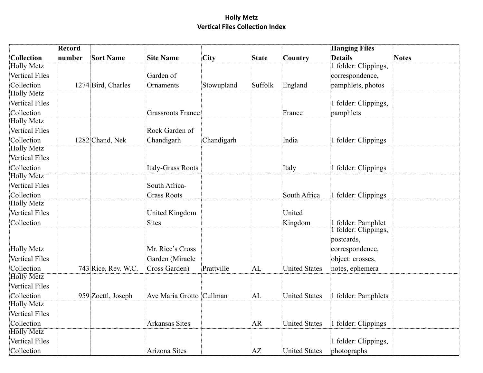|                                                          | Record |                     |                                                      |            |              |                      | <b>Hanging Files</b>                                                 |              |
|----------------------------------------------------------|--------|---------------------|------------------------------------------------------|------------|--------------|----------------------|----------------------------------------------------------------------|--------------|
| Collection                                               | number | <b>Sort Name</b>    | <b>Site Name</b>                                     | City       | <b>State</b> | Country              | <b>Details</b>                                                       | <b>Notes</b> |
| <b>Holly Metz</b>                                        |        |                     |                                                      |            |              |                      | 1 folder: Clippings,                                                 |              |
| <b>Vertical Files</b>                                    |        |                     | Garden of                                            |            |              |                      | correspondence,                                                      |              |
| Collection                                               |        | 1274 Bird, Charles  | Ornaments                                            | Stowupland | Suffolk      | England              | pamphlets, photos                                                    |              |
| <b>Holly Metz</b>                                        |        |                     |                                                      |            |              |                      |                                                                      |              |
| Vertical Files                                           |        |                     |                                                      |            |              |                      | 1 folder: Clippings,                                                 |              |
| Collection                                               |        |                     | <b>Grassroots France</b>                             |            |              | France               | pamphlets                                                            |              |
| <b>Holly Metz</b>                                        |        |                     |                                                      |            |              |                      |                                                                      |              |
| <b>Vertical Files</b>                                    |        |                     | Rock Garden of                                       |            |              |                      |                                                                      |              |
| Collection                                               |        | 1282 Chand, Nek     | Chandigarh                                           | Chandigarh |              | India                | 1 folder: Clippings                                                  |              |
| <b>Holly Metz</b>                                        |        |                     |                                                      |            |              |                      |                                                                      |              |
| <b>Vertical Files</b>                                    |        |                     |                                                      |            |              |                      |                                                                      |              |
| Collection                                               |        |                     | Italy-Grass Roots                                    |            |              | Italy                | 1 folder: Clippings                                                  |              |
| <b>Holly Metz</b>                                        |        |                     |                                                      |            |              |                      |                                                                      |              |
| <b>Vertical Files</b>                                    |        |                     | South Africa-                                        |            |              |                      |                                                                      |              |
| Collection                                               |        |                     | <b>Grass Roots</b>                                   |            |              | South Africa         | 1 folder: Clippings                                                  |              |
| <b>Holly Metz</b>                                        |        |                     |                                                      |            |              |                      |                                                                      |              |
| <b>Vertical Files</b>                                    |        |                     | United Kingdom                                       |            |              | United               |                                                                      |              |
| Collection                                               |        |                     | <b>Sites</b>                                         |            |              | Kingdom              | 1 folder: Pamphlet<br>T folder: Clippings,                           |              |
| <b>Holly Metz</b><br><b>Vertical Files</b><br>Collection |        | 743 Rice, Rev. W.C. | Mr. Rice's Cross<br>Garden (Miracle<br>Cross Garden) | Prattville | AL           | <b>United States</b> | postcards,<br>correspondence,<br>object: crosses,<br>notes, ephemera |              |
| <b>Holly Metz</b>                                        |        |                     |                                                      |            |              |                      |                                                                      |              |
| <b>Vertical Files</b>                                    |        |                     |                                                      |            |              |                      |                                                                      |              |
| Collection                                               |        | 959 Zoettl, Joseph  | Ave Maria Grotto Cullman                             |            | AL           | <b>United States</b> | 1 folder: Pamphlets                                                  |              |
| <b>Holly Metz</b>                                        |        |                     |                                                      |            |              |                      |                                                                      |              |
| Vertical Files                                           |        |                     |                                                      |            |              |                      |                                                                      |              |
| Collection                                               |        |                     | <b>Arkansas Sites</b>                                |            | <b>AR</b>    | <b>United States</b> | 1 folder: Clippings                                                  |              |
| <b>Holly Metz</b>                                        |        |                     |                                                      |            |              |                      |                                                                      |              |
| <b>Vertical Files</b>                                    |        |                     |                                                      |            |              |                      | 1 folder: Clippings,                                                 |              |
| Collection                                               |        |                     | Arizona Sites                                        |            | AZ           | <b>United States</b> | photographs                                                          |              |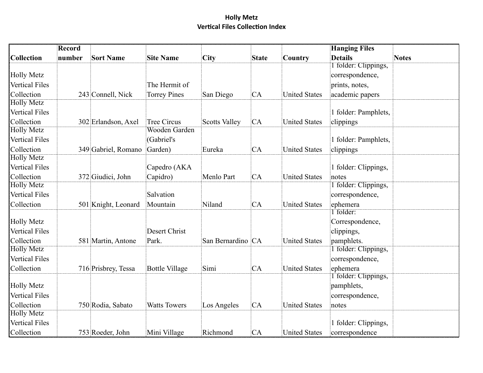|                       | <b>Record</b> |                     |                       |                      |              |                      | <b>Hanging Files</b> |              |
|-----------------------|---------------|---------------------|-----------------------|----------------------|--------------|----------------------|----------------------|--------------|
| <b>Collection</b>     | number        | <b>Sort Name</b>    | <b>Site Name</b>      | City                 | <b>State</b> | <b>Country</b>       | <b>Details</b>       | <b>Notes</b> |
|                       |               |                     |                       |                      |              |                      | 1 folder: Clippings, |              |
| <b>Holly Metz</b>     |               |                     |                       |                      |              |                      | correspondence,      |              |
| Vertical Files        |               |                     | The Hermit of         |                      |              |                      | prints, notes,       |              |
| Collection            |               | 243 Connell, Nick   | <b>Torrey Pines</b>   | San Diego            | CA           | <b>United States</b> | academic papers      |              |
| <b>Holly Metz</b>     |               |                     |                       |                      |              |                      |                      |              |
| <b>Vertical Files</b> |               |                     |                       |                      |              |                      | 1 folder: Pamphlets, |              |
| Collection            |               | 302 Erlandson, Axel | <b>Tree Circus</b>    | <b>Scotts Valley</b> | CA           | <b>United States</b> | clippings            |              |
| <b>Holly Metz</b>     |               |                     | Wooden Garden         |                      |              |                      |                      |              |
| <b>Vertical Files</b> |               |                     | (Gabriel's            |                      |              |                      | 1 folder: Pamphlets, |              |
| Collection            |               | 349 Gabriel, Romano | Garden)               | Eureka               | CA           | <b>United States</b> | clippings            |              |
| <b>Holly Metz</b>     |               |                     |                       |                      |              |                      |                      |              |
| <b>Vertical Files</b> |               |                     | Capedro (AKA          |                      |              |                      | 1 folder: Clippings, |              |
| Collection            |               | 372 Giudici, John   | Capidro)              | Menlo Part           | CA           | <b>United States</b> | notes                |              |
| <b>Holly Metz</b>     |               |                     |                       |                      |              |                      | 1 folder: Clippings, |              |
| <b>Vertical Files</b> |               |                     | Salvation             |                      |              |                      | correspondence,      |              |
| Collection            |               | 501 Knight, Leonard | Mountain              | Niland               | CA           | <b>United States</b> | ephemera             |              |
|                       |               |                     |                       |                      |              |                      | 1 folder:            |              |
| <b>Holly Metz</b>     |               |                     |                       |                      |              |                      | Correspondence,      |              |
| <b>Vertical Files</b> |               |                     | <b>Desert Christ</b>  |                      |              |                      | clippings,           |              |
| Collection            |               | 581 Martin, Antone  | Park.                 | San Bernardino CA    |              | <b>United States</b> | pamphlets.           |              |
| <b>Holly Metz</b>     |               |                     |                       |                      |              |                      | 1 folder: Clippings, |              |
| Vertical Files        |               |                     |                       |                      |              |                      | correspondence,      |              |
| Collection            |               | 716 Prisbrey, Tessa | <b>Bottle Village</b> | Simi                 | CA           | <b>United States</b> | ephemera             |              |
|                       |               |                     |                       |                      |              |                      | 1 folder: Clippings, |              |
| <b>Holly Metz</b>     |               |                     |                       |                      |              |                      | pamphlets,           |              |
| Vertical Files        |               |                     |                       |                      |              |                      | correspondence,      |              |
| Collection            |               | 750 Rodia, Sabato   | <b>Watts Towers</b>   | Los Angeles          | CA           | <b>United States</b> | notes                |              |
| <b>Holly Metz</b>     |               |                     |                       |                      |              |                      |                      |              |
| <b>Vertical Files</b> |               |                     |                       |                      |              |                      | 1 folder: Clippings, |              |
| Collection            |               | 753 Roeder, John    | Mini Village          | Richmond             | CA           | <b>United States</b> | correspondence       |              |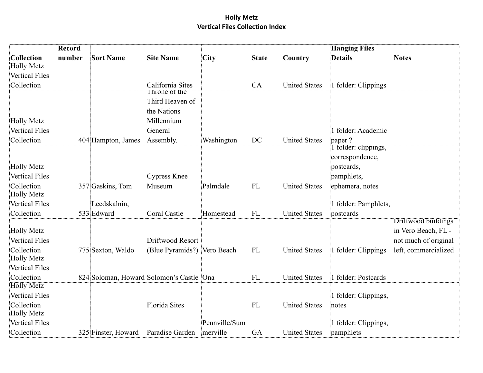|                       | Record |                                          |                             |               |              |                      | <b>Hanging Files</b> |                      |
|-----------------------|--------|------------------------------------------|-----------------------------|---------------|--------------|----------------------|----------------------|----------------------|
| Collection            | number | <b>Sort Name</b>                         | <b>Site Name</b>            | City          | <b>State</b> | Country              | <b>Details</b>       | <b>Notes</b>         |
| <b>Holly Metz</b>     |        |                                          |                             |               |              |                      |                      |                      |
| <b>Vertical Files</b> |        |                                          |                             |               |              |                      |                      |                      |
| Collection            |        |                                          | California Sites            |               | <b>CA</b>    | <b>United States</b> | 1 folder: Clippings  |                      |
|                       |        |                                          | <b>Inrone of the</b>        |               |              |                      |                      |                      |
|                       |        |                                          | Third Heaven of             |               |              |                      |                      |                      |
|                       |        |                                          | the Nations                 |               |              |                      |                      |                      |
| <b>Holly Metz</b>     |        |                                          | Millennium                  |               |              |                      |                      |                      |
| <b>Vertical Files</b> |        |                                          | General                     |               |              |                      | 1 folder: Academic   |                      |
| Collection            |        | 404 Hampton, James                       | Assembly.                   | Washington    | DC           | <b>United States</b> | paper?               |                      |
|                       |        |                                          |                             |               |              |                      | I folder: clippings, |                      |
|                       |        |                                          |                             |               |              |                      | correspondence,      |                      |
| <b>Holly Metz</b>     |        |                                          |                             |               |              |                      | postcards,           |                      |
| <b>Vertical Files</b> |        |                                          | <b>Cypress Knee</b>         |               |              |                      | pamphlets,           |                      |
| Collection            |        | 357 Gaskins, Tom                         | Museum                      | Palmdale      | FL           | <b>United States</b> | ephemera, notes      |                      |
| <b>Holly Metz</b>     |        |                                          |                             |               |              |                      |                      |                      |
| <b>Vertical Files</b> |        | Leedskalnin,                             |                             |               |              |                      | 1 folder: Pamphlets, |                      |
| Collection            |        | 533 Edward                               | <b>Coral Castle</b>         | Homestead     | FL           | <b>United States</b> | postcards            | Driftwood buildings  |
| <b>Holly Metz</b>     |        |                                          |                             |               |              |                      |                      | in Vero Beach, FL -  |
| <b>Vertical Files</b> |        |                                          | Driftwood Resort            |               |              |                      |                      | not much of original |
| Collection            |        | 775 Sexton, Waldo                        | (Blue Pyramids?) Vero Beach |               | FL           | <b>United States</b> | 1 folder: Clippings  | left, commercialized |
| <b>Holly Metz</b>     |        |                                          |                             |               |              |                      |                      |                      |
| <b>Vertical Files</b> |        |                                          |                             |               |              |                      |                      |                      |
| Collection            |        | 824 Soloman, Howard Solomon's Castle Ona |                             |               | FL           | <b>United States</b> | 1 folder: Postcards  |                      |
| <b>Holly Metz</b>     |        |                                          |                             |               |              |                      |                      |                      |
| <b>Vertical Files</b> |        |                                          |                             |               |              |                      | 1 folder: Clippings, |                      |
| Collection            |        |                                          | <b>Florida Sites</b>        |               | FL           | <b>United States</b> | notes                |                      |
| <b>Holly Metz</b>     |        |                                          |                             |               |              |                      |                      |                      |
| <b>Vertical Files</b> |        |                                          |                             | Pennville/Sum |              |                      | 1 folder: Clippings, |                      |
| Collection            |        | 325 Finster, Howard                      | Paradise Garden             | merville      | GA           | <b>United States</b> | pamphlets            |                      |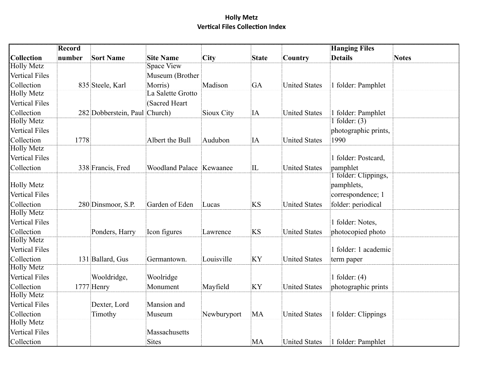|                       | Record |                               |                          |             |              |                      | <b>Hanging Files</b> |              |
|-----------------------|--------|-------------------------------|--------------------------|-------------|--------------|----------------------|----------------------|--------------|
| Collection            | number | <b>Sort Name</b>              | <b>Site Name</b>         | City        | <b>State</b> | Country              | <b>Details</b>       | <b>Notes</b> |
| <b>Holly Metz</b>     |        |                               | <b>Space View</b>        |             |              |                      |                      |              |
| <b>Vertical Files</b> |        |                               | Museum (Brother          |             |              |                      |                      |              |
| Collection            |        | 835 Steele, Karl              | Morris)                  | Madison     | GA           | <b>United States</b> | 1 folder: Pamphlet   |              |
| <b>Holly Metz</b>     |        |                               | La Salette Grotto        |             |              |                      |                      |              |
| <b>Vertical Files</b> |        |                               | (Sacred Heart)           |             |              |                      |                      |              |
| Collection            |        | 282 Dobberstein, Paul Church) |                          | Sioux City  | IA           | United States        | 1 folder: Pamphlet   |              |
| <b>Holly Metz</b>     |        |                               |                          |             |              |                      | 1 folder: $(3)$      |              |
| <b>Vertical Files</b> |        |                               |                          |             |              |                      | photographic prints, |              |
| Collection            | 1778   |                               | Albert the Bull          | Audubon     | IA           | <b>United States</b> | 1990                 |              |
| <b>Holly Metz</b>     |        |                               |                          |             |              |                      |                      |              |
| <b>Vertical Files</b> |        |                               |                          |             |              |                      | 1 folder: Postcard,  |              |
| Collection            |        | 338 Francis, Fred             | Woodland Palace Kewaanee |             | $ {\rm IL} $ | <b>United States</b> | pamphlet             |              |
|                       |        |                               |                          |             |              |                      | 1 folder: Clippings, |              |
| <b>Holly Metz</b>     |        |                               |                          |             |              |                      | pamphlets,           |              |
| <b>Vertical Files</b> |        |                               |                          |             |              |                      | correspondence; 1    |              |
| Collection            |        | 280 Dinsmoor, S.P.            | Garden of Eden           | Lucas       | <b>KS</b>    | <b>United States</b> | folder: periodical   |              |
| <b>Holly Metz</b>     |        |                               |                          |             |              |                      |                      |              |
| <b>Vertical Files</b> |        |                               |                          |             |              |                      | 1 folder: Notes,     |              |
| Collection            |        | Ponders, Harry                | Icon figures             | Lawrence    | <b>KS</b>    | <b>United States</b> | photocopied photo    |              |
| <b>Holly Metz</b>     |        |                               |                          |             |              |                      |                      |              |
| <b>Vertical Files</b> |        |                               |                          |             |              |                      | 1 folder: 1 academic |              |
| Collection            |        | 131 Ballard, Gus              | Germantown.              | Louisville  | KY           | <b>United States</b> | term paper           |              |
| <b>Holly Metz</b>     |        |                               |                          |             |              |                      |                      |              |
| Vertical Files        |        | Wooldridge,                   | Woolridge                |             |              |                      | 1 folder: $(4)$      |              |
| Collection            |        | 1777 Henry                    | Monument                 | Mayfield    | <b>KY</b>    | <b>United States</b> | photographic prints  |              |
| <b>Holly Metz</b>     |        |                               |                          |             |              |                      |                      |              |
| <b>Vertical Files</b> |        | Dexter, Lord                  | Mansion and              |             |              |                      |                      |              |
| Collection            |        | Timothy                       | Museum                   | Newburyport | MA           | <b>United States</b> | 1 folder: Clippings  |              |
| <b>Holly Metz</b>     |        |                               |                          |             |              |                      |                      |              |
| <b>Vertical Files</b> |        |                               | Massachusetts            |             |              |                      |                      |              |
| Collection            |        |                               | Sites                    |             | MA           | United States        | 1 folder: Pamphlet   |              |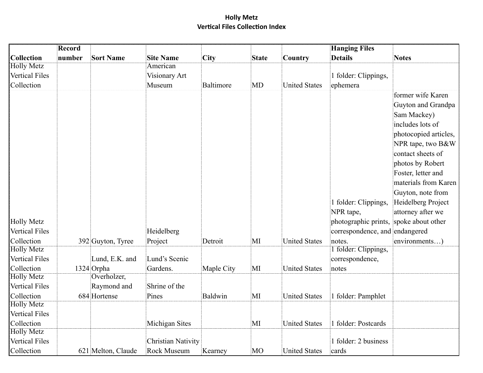|                       | Record |                    |                           |            |              |                      | <b>Hanging Files</b>                   |                       |
|-----------------------|--------|--------------------|---------------------------|------------|--------------|----------------------|----------------------------------------|-----------------------|
| <b>Collection</b>     | number | <b>Sort Name</b>   | <b>Site Name</b>          | City       | <b>State</b> | Country              | <b>Details</b>                         | <b>Notes</b>          |
| <b>Holly Metz</b>     |        |                    | American                  |            |              |                      |                                        |                       |
| Vertical Files        |        |                    | Visionary Art             |            |              |                      | 1 folder: Clippings,                   |                       |
| Collection            |        |                    | Museum                    | Baltimore  | MD           | <b>United States</b> | ephemera                               |                       |
|                       |        |                    |                           |            |              |                      |                                        | former wife Karen     |
|                       |        |                    |                           |            |              |                      |                                        | Guyton and Grandpa    |
|                       |        |                    |                           |            |              |                      |                                        | Sam Mackey)           |
|                       |        |                    |                           |            |              |                      |                                        | includes lots of      |
|                       |        |                    |                           |            |              |                      |                                        | photocopied articles, |
|                       |        |                    |                           |            |              |                      |                                        | NPR tape, two B&W     |
|                       |        |                    |                           |            |              |                      |                                        | contact sheets of     |
|                       |        |                    |                           |            |              |                      |                                        | photos by Robert      |
|                       |        |                    |                           |            |              |                      |                                        | Foster, letter and    |
|                       |        |                    |                           |            |              |                      |                                        | materials from Karen  |
|                       |        |                    |                           |            |              |                      |                                        | Guyton, note from     |
|                       |        |                    |                           |            |              |                      | 1 folder: Clippings,                   | Heidelberg Project    |
|                       |        |                    |                           |            |              |                      | NPR tape,                              | attorney after we     |
| <b>Holly Metz</b>     |        |                    |                           |            |              |                      | photographic prints, spoke about other |                       |
| <b>Vertical Files</b> |        |                    | Heidelberg                |            |              |                      | correspondence, and endangered         |                       |
| Collection            |        | 392 Guyton, Tyree  | Project                   | Detroit    | $M_{\rm I}$  | <b>United States</b> | notes.                                 | environments)         |
| <b>Holly Metz</b>     |        |                    |                           |            |              |                      | 1 folder: Clippings,                   |                       |
| <b>Vertical Files</b> |        | Lund, E.K. and     | Lund's Scenic             |            |              |                      | correspondence,                        |                       |
| Collection            |        | 1324 Orpha         | Gardens.                  | Maple City | MI           | <b>United States</b> | notes                                  |                       |
| <b>Holly Metz</b>     |        | Overholzer,        |                           |            |              |                      |                                        |                       |
| <b>Vertical Files</b> |        | Raymond and        | Shrine of the             |            |              |                      |                                        |                       |
| Collection            |        | 684 Hortense       | Pines                     | Baldwin    | $M_{\rm I}$  | <b>United States</b> | 1 folder: Pamphlet                     |                       |
| <b>Holly Metz</b>     |        |                    |                           |            |              |                      |                                        |                       |
| <b>Vertical Files</b> |        |                    |                           |            |              |                      |                                        |                       |
| Collection            |        |                    | Michigan Sites            |            | $\mathbf{M}$ | <b>United States</b> | 1 folder: Postcards                    |                       |
| <b>Holly Metz</b>     |        |                    |                           |            |              |                      |                                        |                       |
| <b>Vertical Files</b> |        |                    | <b>Christian Nativity</b> |            |              |                      | 1 folder: 2 business                   |                       |
| Collection            |        | 621 Melton, Claude | <b>Rock Museum</b>        | Kearney    | MO           | <b>United States</b> | cards                                  |                       |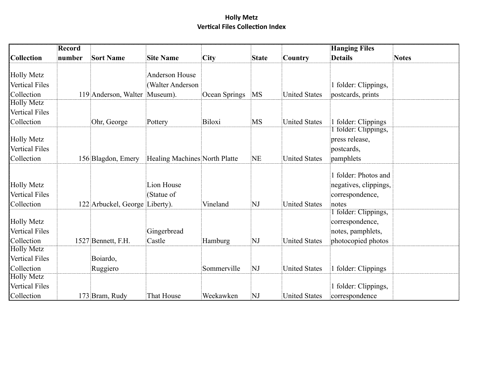|                                                          | Record |                                |                                           |               |              |                      | <b>Hanging Files</b>                                                      |              |
|----------------------------------------------------------|--------|--------------------------------|-------------------------------------------|---------------|--------------|----------------------|---------------------------------------------------------------------------|--------------|
| Collection                                               | number | <b>Sort Name</b>               | <b>Site Name</b>                          | City          | <b>State</b> | Country              | <b>Details</b>                                                            | <b>Notes</b> |
| <b>Holly Metz</b><br><b>Vertical Files</b>               |        |                                | <b>Anderson House</b><br>(Walter Anderson |               |              |                      | 1 folder: Clippings,                                                      |              |
| Collection                                               |        | 119 Anderson, Walter Museum).  |                                           | Ocean Springs | MS           | <b>United States</b> | postcards, prints                                                         |              |
| <b>Holly Metz</b><br><b>Vertical Files</b>               |        |                                |                                           |               |              |                      |                                                                           |              |
| Collection                                               |        | Ohr, George                    | Pottery                                   | Biloxi        | MS           | <b>United States</b> | 1 folder: Clippings                                                       |              |
| <b>Holly Metz</b><br><b>Vertical Files</b>               |        |                                |                                           |               |              |                      | I folder: Clippings,<br>press release,<br>postcards,                      |              |
| Collection                                               |        | 156 Blagdon, Emery             | Healing Machines North Platte             |               | NE           | <b>United States</b> | pamphlets                                                                 |              |
| <b>Holly Metz</b><br><b>Vertical Files</b><br>Collection |        | 122 Arbuckel, George Liberty). | Lion House<br>(Statue of                  | Vineland      | NJ           | <b>United States</b> | 1 folder: Photos and<br>negatives, clippings,<br>correspondence,<br>notes |              |
| <b>Holly Metz</b><br><b>Vertical Files</b>               |        |                                | Gingerbread                               |               |              |                      | 1 folder: Clippings,<br>correspondence,<br>notes, pamphlets,              |              |
| Collection                                               |        | 1527 Bennett, F.H.             | Castle                                    | Hamburg       | NJ           | <b>United States</b> | photocopied photos                                                        |              |
| <b>Holly Metz</b><br><b>Vertical Files</b>               |        | Boiardo,                       |                                           |               |              |                      |                                                                           |              |
| Collection                                               |        | Ruggiero                       |                                           | Sommerville   | NJ           | <b>United States</b> | 1 folder: Clippings                                                       |              |
| <b>Holly Metz</b>                                        |        |                                |                                           |               |              |                      |                                                                           |              |
| <b>Vertical Files</b>                                    |        |                                |                                           |               |              |                      | 1 folder: Clippings,                                                      |              |
| Collection                                               |        | 173 Bram, Rudy                 | That House                                | Weekawken     | NJ           | <b>United States</b> | correspondence                                                            |              |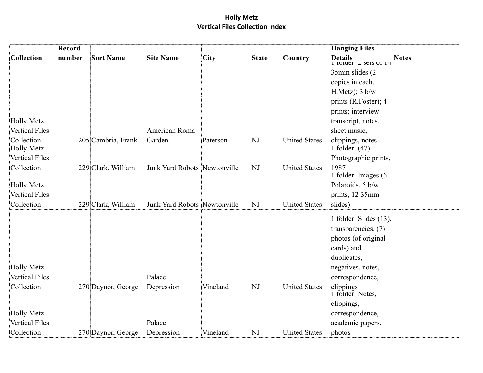|                       | <b>Record</b> |                    |                              |          |              |                      | <b>Hanging Files</b>                                                             |              |
|-----------------------|---------------|--------------------|------------------------------|----------|--------------|----------------------|----------------------------------------------------------------------------------|--------------|
| <b>Collection</b>     | number        | <b>Sort Name</b>   | <b>Site Name</b>             | City     | <b>State</b> | Country              | <b>Details</b><br>$\overline{\text{1}}$ turget, $\overline{\text{2}}$ sets ut to | <b>Notes</b> |
|                       |               |                    |                              |          |              |                      | 35mm slides (2)                                                                  |              |
|                       |               |                    |                              |          |              |                      | copies in each,                                                                  |              |
|                       |               |                    |                              |          |              |                      | H.Metz); 3 b/w                                                                   |              |
|                       |               |                    |                              |          |              |                      | prints (R.Foster); 4                                                             |              |
|                       |               |                    |                              |          |              |                      | prints; interview                                                                |              |
| <b>Holly Metz</b>     |               |                    |                              |          |              |                      | transcript, notes,                                                               |              |
| <b>Vertical Files</b> |               |                    | American Roma                |          |              |                      | sheet music,                                                                     |              |
| Collection            |               | 205 Cambria, Frank | Garden.                      | Paterson | NJ           | <b>United States</b> | clippings, notes                                                                 |              |
| <b>Holly Metz</b>     |               |                    |                              |          |              |                      | 1 folder: $(47)$                                                                 |              |
| <b>Vertical Files</b> |               |                    |                              |          |              |                      | Photographic prints,                                                             |              |
| Collection            |               | 229 Clark, William | Junk Yard Robots Newtonville |          | NJ           | <b>United States</b> | 1987<br>1 folder: Images (6                                                      |              |
| <b>Holly Metz</b>     |               |                    |                              |          |              |                      | Polaroids, 5 b/w                                                                 |              |
| <b>Vertical Files</b> |               |                    |                              |          |              |                      | prints, 12 35mm                                                                  |              |
| Collection            |               | 229 Clark, William | Junk Yard Robots Newtonville |          | NJ           | <b>United States</b> | slides)                                                                          |              |
|                       |               |                    |                              |          |              |                      |                                                                                  |              |
|                       |               |                    |                              |          |              |                      | 1 folder: Slides (13),                                                           |              |
|                       |               |                    |                              |          |              |                      | transparencies, (7)                                                              |              |
|                       |               |                    |                              |          |              |                      | photos (of original                                                              |              |
|                       |               |                    |                              |          |              |                      | cards) and                                                                       |              |
| <b>Holly Metz</b>     |               |                    |                              |          |              |                      | duplicates,<br>negatives, notes,                                                 |              |
| <b>Vertical Files</b> |               |                    | Palace                       |          |              |                      | correspondence,                                                                  |              |
| Collection            |               | 270 Daynor, George | Depression                   | Vineland | NJ           | <b>United States</b> | clippings                                                                        |              |
|                       |               |                    |                              |          |              |                      | 1 folder: Notes,                                                                 |              |
|                       |               |                    |                              |          |              |                      | clippings,                                                                       |              |
| <b>Holly Metz</b>     |               |                    |                              |          |              |                      | correspondence,                                                                  |              |
| <b>Vertical Files</b> |               |                    | Palace                       |          |              |                      | academic papers,                                                                 |              |
| Collection            |               | 270 Daynor, George | Depression                   | Vineland | NJ           | <b>United States</b> | photos                                                                           |              |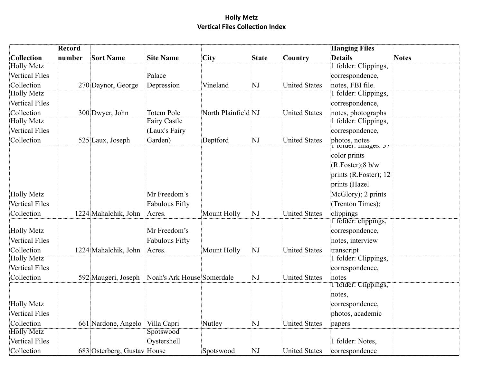|                                            | Record |                             |                            |                     |              |                      | <b>Hanging Files</b>                |              |
|--------------------------------------------|--------|-----------------------------|----------------------------|---------------------|--------------|----------------------|-------------------------------------|--------------|
| Collection                                 | number | <b>Sort Name</b>            | <b>Site Name</b>           | City                | <b>State</b> | Country              | <b>Details</b>                      | <b>Notes</b> |
| <b>Holly Metz</b>                          |        |                             |                            |                     |              |                      | 1 folder: Clippings,                |              |
| <b>Vertical Files</b>                      |        |                             | Palace                     |                     |              |                      | correspondence,                     |              |
| Collection                                 |        | 270 Daynor, George          | Depression                 | Vineland            | NJ           | <b>United States</b> | notes, FBI file.                    |              |
| <b>Holly Metz</b>                          |        |                             |                            |                     |              |                      | 1 folder: Clippings,                |              |
| Vertical Files                             |        |                             |                            |                     |              |                      | correspondence,                     |              |
| Collection                                 |        | 300 Dwyer, John             | <b>Totem Pole</b>          | North Plainfield NJ |              | <b>United States</b> | notes, photographs                  |              |
| <b>Holly Metz</b>                          |        |                             | <b>Fairy Castle</b>        |                     |              |                      | 1 folder: Clippings,                |              |
| <b>Vertical Files</b>                      |        |                             | (Laux's Fairy              |                     |              |                      | correspondence,                     |              |
| Collection                                 |        | 525 Laux, Joseph            | Garden)                    | Deptford            | NJ           | <b>United States</b> | photos, notes                       |              |
|                                            |        |                             |                            |                     |              |                      | TTUTUET. Images. 37<br>color prints |              |
|                                            |        |                             |                            |                     |              |                      | $(R.Foster)$ ; 8 b/w                |              |
|                                            |        |                             |                            |                     |              |                      |                                     |              |
|                                            |        |                             |                            |                     |              |                      | prints (R.Foster); 12               |              |
|                                            |        |                             |                            |                     |              |                      | prints (Hazel                       |              |
| <b>Holly Metz</b>                          |        |                             | Mr Freedom's               |                     |              |                      | McGlory); 2 prints                  |              |
| <b>Vertical Files</b>                      |        |                             | <b>Fabulous Fifty</b>      |                     |              |                      | (Trenton Times);                    |              |
| Collection                                 |        | 1224 Mahalchik, John        | Acres.                     | Mount Holly         | NJ           | <b>United States</b> | clippings                           |              |
|                                            |        |                             |                            |                     |              |                      | I folder: clippings,                |              |
| <b>Holly Metz</b>                          |        |                             | Mr Freedom's               |                     |              |                      | correspondence,                     |              |
| <b>Vertical Files</b>                      |        |                             | <b>Fabulous Fifty</b>      |                     |              |                      | notes, interview                    |              |
| Collection                                 |        | 1224 Mahalchik, John        | Acres.                     | Mount Holly         | NJ           | <b>United States</b> | transcript                          |              |
| <b>Holly Metz</b><br><b>Vertical Files</b> |        |                             |                            |                     |              |                      | 1 folder: Clippings,                |              |
|                                            |        |                             |                            |                     |              |                      | correspondence,                     |              |
| Collection                                 |        | 592 Maugeri, Joseph         | Noah's Ark House Somerdale |                     | NJ           | <b>United States</b> | notes<br>1 tolder: Clippings,       |              |
|                                            |        |                             |                            |                     |              |                      | notes,                              |              |
| <b>Holly Metz</b>                          |        |                             |                            |                     |              |                      | correspondence,                     |              |
| Vertical Files                             |        |                             |                            |                     |              |                      |                                     |              |
|                                            |        |                             |                            |                     |              |                      | photos, academic                    |              |
| Collection<br><b>Holly Metz</b>            |        | 661 Nardone, Angelo         | Villa Capri<br>Spotswood   | Nutley              | NJ           | <b>United States</b> | papers                              |              |
| <b>Vertical Files</b>                      |        |                             |                            |                     |              |                      |                                     |              |
|                                            |        |                             | Oystershell                |                     |              |                      | 1 folder: Notes,                    |              |
| Collection                                 |        | 683 Osterberg, Gustav House |                            | Spotswood           | NJ           | <b>United States</b> | correspondence                      |              |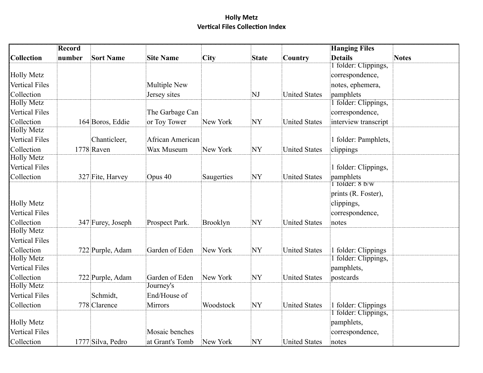|                       | Record |                   |                  |            |              |                      | <b>Hanging Files</b>           |              |
|-----------------------|--------|-------------------|------------------|------------|--------------|----------------------|--------------------------------|--------------|
| <b>Collection</b>     | number | <b>Sort Name</b>  | <b>Site Name</b> | City       | <b>State</b> | Country              | <b>Details</b>                 | <b>Notes</b> |
|                       |        |                   |                  |            |              |                      | I folder: Clippings,           |              |
| <b>Holly Metz</b>     |        |                   |                  |            |              |                      | correspondence,                |              |
| <b>Vertical Files</b> |        |                   | Multiple New     |            |              |                      | notes, ephemera,               |              |
| Collection            |        |                   | Jersey sites     |            | NJ           | <b>United States</b> | pamphlets                      |              |
| <b>Holly Metz</b>     |        |                   |                  |            |              |                      | 1 folder: Clippings,           |              |
| <b>Vertical Files</b> |        |                   | The Garbage Can  |            |              |                      | correspondence,                |              |
| Collection            |        | 164 Boros, Eddie  | or Toy Tower     | New York   | NY           | <b>United States</b> | interview transcript           |              |
| <b>Holly Metz</b>     |        |                   |                  |            |              |                      |                                |              |
| <b>Vertical Files</b> |        | Chanticleer,      | African American |            |              |                      | 1 folder: Pamphlets,           |              |
| Collection            |        | 1778 Raven        | Wax Museum       | New York   | NY           | <b>United States</b> | clippings                      |              |
| <b>Holly Metz</b>     |        |                   |                  |            |              |                      |                                |              |
| <b>Vertical Files</b> |        |                   |                  |            |              |                      | 1 folder: Clippings,           |              |
| Collection            |        | 327 Fite, Harvey  | Opus 40          | Saugerties | NY           | <b>United States</b> | pamphlets                      |              |
|                       |        |                   |                  |            |              |                      | $\overline{1}$ folder: $8$ b/w |              |
|                       |        |                   |                  |            |              |                      | prints (R. Foster),            |              |
| <b>Holly Metz</b>     |        |                   |                  |            |              |                      | clippings,                     |              |
| <b>Vertical Files</b> |        |                   |                  |            |              |                      | correspondence,                |              |
| Collection            |        | 347 Furey, Joseph | Prospect Park.   | Brooklyn   | NY           | <b>United States</b> | notes                          |              |
| <b>Holly Metz</b>     |        |                   |                  |            |              |                      |                                |              |
| <b>Vertical Files</b> |        |                   |                  |            |              |                      |                                |              |
| Collection            |        | 722 Purple, Adam  | Garden of Eden   | New York   | NY           | <b>United States</b> | 1 folder: Clippings            |              |
| <b>Holly Metz</b>     |        |                   |                  |            |              |                      | 1 folder: Clippings,           |              |
| <b>Vertical Files</b> |        |                   |                  |            |              |                      | pamphlets,                     |              |
| Collection            |        | 722 Purple, Adam  | Garden of Eden   | New York   | NY           | <b>United States</b> | postcards                      |              |
| <b>Holly Metz</b>     |        |                   | Journey's        |            |              |                      |                                |              |
| <b>Vertical Files</b> |        | Schmidt,          | End/House of     |            |              |                      |                                |              |
| Collection            |        | 778 Clarence      | <b>Mirrors</b>   | Woodstock  | NY           | <b>United States</b> | 1 folder: Clippings            |              |
|                       |        |                   |                  |            |              |                      | 1 folder: Clippings,           |              |
| <b>Holly Metz</b>     |        |                   |                  |            |              |                      | pamphlets,                     |              |
| <b>Vertical Files</b> |        |                   | Mosaic benches   |            |              |                      | correspondence,                |              |
| Collection            |        | 1777 Silva, Pedro | at Grant's Tomb  | New York   | NY           | <b>United States</b> | notes                          |              |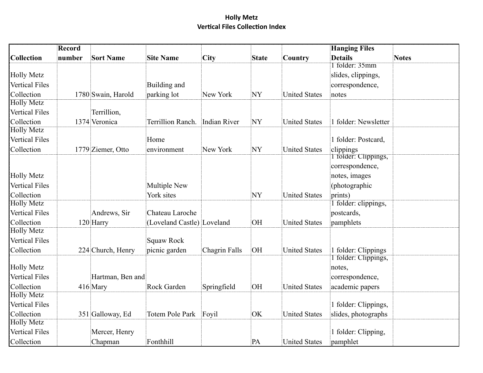|                       | <b>Record</b> |                    |                                |               |              |                      | <b>Hanging Files</b> |              |
|-----------------------|---------------|--------------------|--------------------------------|---------------|--------------|----------------------|----------------------|--------------|
| <b>Collection</b>     | number        | <b>Sort Name</b>   | <b>Site Name</b>               | City          | <b>State</b> | Country              | <b>Details</b>       | <b>Notes</b> |
|                       |               |                    |                                |               |              |                      | 1 folder: 35mm       |              |
| <b>Holly Metz</b>     |               |                    |                                |               |              |                      | slides, clippings,   |              |
| <b>Vertical Files</b> |               |                    | Building and                   |               |              |                      | correspondence,      |              |
| Collection            |               | 1780 Swain, Harold | parking lot                    | New York      | NY           | <b>United States</b> | notes                |              |
| <b>Holly Metz</b>     |               |                    |                                |               |              |                      |                      |              |
| <b>Vertical Files</b> |               | Terrillion,        |                                |               |              |                      |                      |              |
| Collection            |               | 1374 Veronica      | Terrillion Ranch. Indian River |               | NY           | <b>United States</b> | 1 folder: Newsletter |              |
| <b>Holly Metz</b>     |               |                    |                                |               |              |                      |                      |              |
| <b>Vertical Files</b> |               |                    | Home                           |               |              |                      | 1 folder: Postcard,  |              |
| Collection            |               | 1779 Ziemer, Otto  | environment                    | New York      | NY           | <b>United States</b> | clippings            |              |
|                       |               |                    |                                |               |              |                      | I folder: Clippings, |              |
|                       |               |                    |                                |               |              |                      | correspondence,      |              |
| <b>Holly Metz</b>     |               |                    |                                |               |              |                      | notes, images        |              |
| <b>Vertical Files</b> |               |                    | <b>Multiple New</b>            |               |              |                      | (photographic        |              |
| Collection            |               |                    | York sites                     |               | NY           | <b>United States</b> | prints)              |              |
| <b>Holly Metz</b>     |               |                    |                                |               |              |                      | 1 folder: clippings, |              |
| <b>Vertical Files</b> |               | Andrews, Sir       | Chateau Laroche                |               |              |                      | postcards,           |              |
| Collection            |               | 120 Harry          | (Loveland Castle) Loveland     |               | OH           | <b>United States</b> | pamphlets            |              |
| <b>Holly Metz</b>     |               |                    |                                |               |              |                      |                      |              |
| <b>Vertical Files</b> |               |                    | <b>Squaw Rock</b>              |               |              |                      |                      |              |
| Collection            |               | 224 Church, Henry  | picnic garden                  | Chagrin Falls | OH           | <b>United States</b> | 1 folder: Clippings  |              |
|                       |               |                    |                                |               |              |                      | I folder: Clippings, |              |
| <b>Holly Metz</b>     |               |                    |                                |               |              |                      | notes,               |              |
| <b>Vertical Files</b> |               | Hartman, Ben and   |                                |               |              |                      | correspondence,      |              |
| Collection            |               | 416 Mary           | Rock Garden                    | Springfield   | OH           | <b>United States</b> | academic papers      |              |
| <b>Holly Metz</b>     |               |                    |                                |               |              |                      |                      |              |
| <b>Vertical Files</b> |               |                    |                                |               |              |                      | 1 folder: Clippings, |              |
| Collection            |               | 351 Galloway, Ed   | <b>Totem Pole Park</b>         | Foyil         | OK           | <b>United States</b> | slides, photographs  |              |
| <b>Holly Metz</b>     |               |                    |                                |               |              |                      |                      |              |
| <b>Vertical Files</b> |               | Mercer, Henry      |                                |               |              |                      | 1 folder: Clipping,  |              |
| Collection            |               | Chapman            | Fonthhill                      |               | PA           | United States        | pamphlet             |              |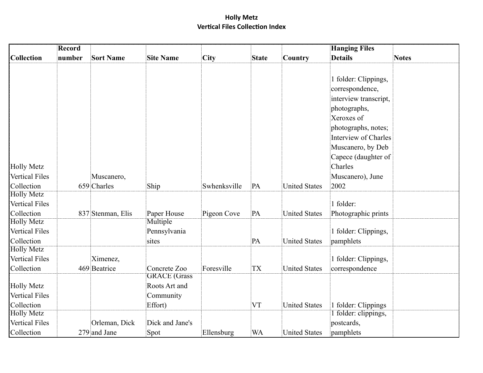|                                                          | <b>Record</b> |                           |                                                              |              |              |                      | <b>Hanging Files</b>                                                                                                                                                                                                             |              |
|----------------------------------------------------------|---------------|---------------------------|--------------------------------------------------------------|--------------|--------------|----------------------|----------------------------------------------------------------------------------------------------------------------------------------------------------------------------------------------------------------------------------|--------------|
| Collection                                               | number        | <b>Sort Name</b>          | <b>Site Name</b>                                             | City         | <b>State</b> | Country              | <b>Details</b>                                                                                                                                                                                                                   | <b>Notes</b> |
| <b>Holly Metz</b><br><b>Vertical Files</b><br>Collection |               | Muscanero,<br>659 Charles | Ship                                                         | Swhenksville | PA           | <b>United States</b> | 1 folder: Clippings,<br>correspondence,<br>interview transcript,<br>photographs,<br>Xeroxes of<br>photographs, notes;<br>Interview of Charles<br>Muscanero, by Deb<br>Capece (daughter of<br>Charles<br>Muscanero), June<br>2002 |              |
| <b>Holly Metz</b>                                        |               |                           |                                                              |              |              |                      |                                                                                                                                                                                                                                  |              |
| <b>Vertical Files</b>                                    |               |                           |                                                              |              |              |                      | 1 folder:                                                                                                                                                                                                                        |              |
| Collection                                               |               | 837 Stenman, Elis         | Paper House                                                  | Pigeon Cove  | PA           | <b>United States</b> | Photographic prints                                                                                                                                                                                                              |              |
| <b>Holly Metz</b><br><b>Vertical Files</b><br>Collection |               |                           | Multiple<br>Pennsylvania<br>sites                            |              | PA           | <b>United States</b> | 1 folder: Clippings,<br>pamphlets                                                                                                                                                                                                |              |
| <b>Holly Metz</b><br><b>Vertical Files</b><br>Collection |               | Ximenez,<br>469 Beatrice  | Concrete Zoo                                                 | Foresville   | <b>TX</b>    | <b>United States</b> | 1 folder: Clippings,<br>correspondence                                                                                                                                                                                           |              |
| <b>Holly Metz</b><br>Vertical Files<br>Collection        |               |                           | <b>GRACE</b> (Grass<br>Roots Art and<br>Community<br>Effort) |              | <b>VT</b>    | <b>United States</b> | 1 folder: Clippings                                                                                                                                                                                                              |              |
| <b>Holly Metz</b><br><b>Vertical Files</b>               |               | Orleman, Dick             | Dick and Jane's                                              |              |              |                      | 1 folder: clippings,<br>postcards,                                                                                                                                                                                               |              |
| Collection                                               |               | 279 and Jane              | Spot                                                         | Ellensburg   | <b>WA</b>    | <b>United States</b> | pamphlets                                                                                                                                                                                                                        |              |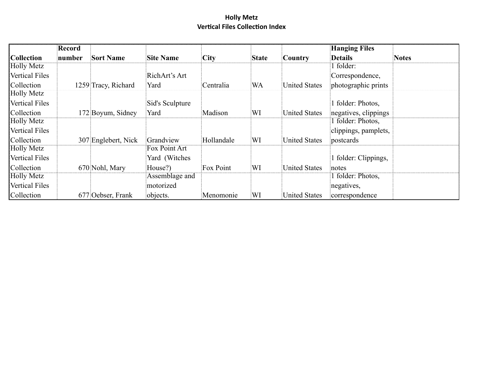|                       | Record |                     |                  |            |              |                      | <b>Hanging Files</b> |              |
|-----------------------|--------|---------------------|------------------|------------|--------------|----------------------|----------------------|--------------|
| <b>Collection</b>     | number | <b>Sort Name</b>    | <b>Site Name</b> | City       | <b>State</b> | Country              | <b>Details</b>       | <b>Notes</b> |
| <b>Holly Metz</b>     |        |                     |                  |            |              |                      | 1 folder:            |              |
| <b>Vertical Files</b> |        |                     | RichArt's Art    |            |              |                      | Correspondence,      |              |
| Collection            |        | 1259 Tracy, Richard | Yard             | Centralia  | <b>WA</b>    | <b>United States</b> | photographic prints  |              |
| <b>Holly Metz</b>     |        |                     |                  |            |              |                      |                      |              |
| <b>Vertical Files</b> |        |                     | Sid's Sculpture  |            |              |                      | folder: Photos,      |              |
| Collection            |        | 172 Boyum, Sidney   | Yard             | Madison    | WI           | United States        | negatives, clippings |              |
| <b>Holly Metz</b>     |        |                     |                  |            |              |                      | 1 folder: Photos,    |              |
| <b>Vertical Files</b> |        |                     |                  |            |              |                      | clippings, pamplets, |              |
| Collection            |        | 307 Englebert, Nick | Grandview        | Hollandale | WI           | <b>United States</b> | postcards            |              |
| <b>Holly Metz</b>     |        |                     | Fox Point Art    |            |              |                      |                      |              |
| <b>Vertical Files</b> |        |                     | Yard (Witches    |            |              |                      | folder: Clippings,   |              |
| Collection            |        | 670 Nohl, Mary      | House?)          | Fox Point  | WI           | <b>United States</b> | notes                |              |
| <b>Holly Metz</b>     |        |                     | Assemblage and   |            |              |                      | 1 folder: Photos,    |              |
| <b>Vertical Files</b> |        |                     | motorized        |            |              |                      | negatives,           |              |
| Collection            |        | 677 Oebser, Frank   | objects.         | Menomonie  | WI           | <b>United States</b> | correspondence       |              |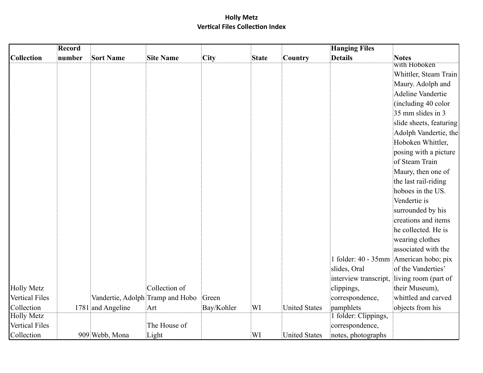|                       | <b>Record</b> |                                  |                  |            |              |                      | <b>Hanging Files</b>  |                                          |
|-----------------------|---------------|----------------------------------|------------------|------------|--------------|----------------------|-----------------------|------------------------------------------|
| <b>Collection</b>     | number        | <b>Sort Name</b>                 | <b>Site Name</b> | City       | <b>State</b> | Country              | <b>Details</b>        | <b>Notes</b>                             |
|                       |               |                                  |                  |            |              |                      |                       | with Hoboken                             |
|                       |               |                                  |                  |            |              |                      |                       | Whittler, Steam Train                    |
|                       |               |                                  |                  |            |              |                      |                       | Maury. Adolph and                        |
|                       |               |                                  |                  |            |              |                      |                       | <b>Adeline Vandertie</b>                 |
|                       |               |                                  |                  |            |              |                      |                       | (including 40 color                      |
|                       |               |                                  |                  |            |              |                      |                       | 35 mm slides in 3                        |
|                       |               |                                  |                  |            |              |                      |                       | slide sheets, featuring                  |
|                       |               |                                  |                  |            |              |                      |                       | Adolph Vandertie, the                    |
|                       |               |                                  |                  |            |              |                      |                       | Hoboken Whittler,                        |
|                       |               |                                  |                  |            |              |                      |                       | posing with a picture                    |
|                       |               |                                  |                  |            |              |                      |                       | of Steam Train                           |
|                       |               |                                  |                  |            |              |                      |                       | Maury, then one of                       |
|                       |               |                                  |                  |            |              |                      |                       | the last rail-riding                     |
|                       |               |                                  |                  |            |              |                      |                       | hoboes in the US.                        |
|                       |               |                                  |                  |            |              |                      |                       | Vendertie is                             |
|                       |               |                                  |                  |            |              |                      |                       | surrounded by his                        |
|                       |               |                                  |                  |            |              |                      |                       | creations and items                      |
|                       |               |                                  |                  |            |              |                      |                       | he collected. He is                      |
|                       |               |                                  |                  |            |              |                      |                       | wearing clothes                          |
|                       |               |                                  |                  |            |              |                      |                       | associated with the                      |
|                       |               |                                  |                  |            |              |                      |                       | 1 folder: 40 - 35mm   American hobo; pix |
|                       |               |                                  |                  |            |              |                      | slides, Oral          | of the Vanderties'                       |
|                       |               |                                  |                  |            |              |                      | interview transcript, | living room (part of                     |
| <b>Holly Metz</b>     |               |                                  | Collection of    |            |              |                      | clippings,            | their Museum),                           |
| Vertical Files        |               | Vandertie, Adolph Tramp and Hobo |                  | Green      |              |                      | correspondence,       | whittled and carved                      |
| Collection            |               | 1781 and Angeline                | Art              | Bay/Kohler | WI           | <b>United States</b> | pamphlets             | objects from his                         |
| <b>Holly Metz</b>     |               |                                  |                  |            |              |                      | 1 folder: Clippings,  |                                          |
| <b>Vertical Files</b> |               |                                  | The House of     |            |              |                      | correspondence,       |                                          |
| Collection            |               | 909 Webb, Mona                   | Light            |            | WI           | <b>United States</b> | notes, photographs    |                                          |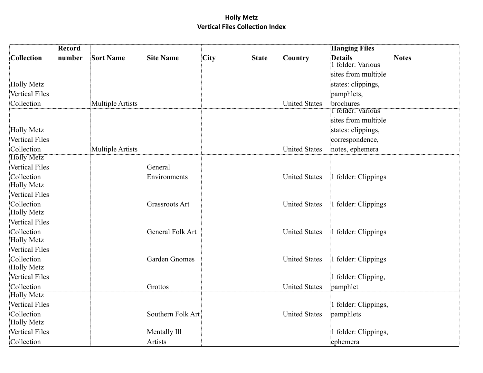|                       | Record |                         |                         |      |              |                      | <b>Hanging Files</b>     |              |
|-----------------------|--------|-------------------------|-------------------------|------|--------------|----------------------|--------------------------|--------------|
| <b>Collection</b>     | number | <b>Sort Name</b>        | <b>Site Name</b>        | City | <b>State</b> | Country              | <b>Details</b>           | <b>Notes</b> |
|                       |        |                         |                         |      |              |                      | I folder: Various        |              |
|                       |        |                         |                         |      |              |                      | sites from multiple      |              |
| <b>Holly Metz</b>     |        |                         |                         |      |              |                      | states: clippings,       |              |
| <b>Vertical Files</b> |        |                         |                         |      |              |                      | pamphlets,               |              |
| Collection            |        | <b>Multiple Artists</b> |                         |      |              | <b>United States</b> | brochures                |              |
|                       |        |                         |                         |      |              |                      | <b>T</b> folder: Various |              |
|                       |        |                         |                         |      |              |                      | sites from multiple      |              |
| <b>Holly Metz</b>     |        |                         |                         |      |              |                      | states: clippings,       |              |
| <b>Vertical Files</b> |        |                         |                         |      |              |                      | correspondence,          |              |
| Collection            |        | <b>Multiple Artists</b> |                         |      |              | <b>United States</b> | notes, ephemera          |              |
| <b>Holly Metz</b>     |        |                         |                         |      |              |                      |                          |              |
| <b>Vertical Files</b> |        |                         | General                 |      |              |                      |                          |              |
| Collection            |        |                         | Environments            |      |              | <b>United States</b> | 1 folder: Clippings      |              |
| <b>Holly Metz</b>     |        |                         |                         |      |              |                      |                          |              |
| <b>Vertical Files</b> |        |                         |                         |      |              |                      |                          |              |
| Collection            |        |                         | <b>Grassroots Art</b>   |      |              | <b>United States</b> | 1 folder: Clippings      |              |
| <b>Holly Metz</b>     |        |                         |                         |      |              |                      |                          |              |
| <b>Vertical Files</b> |        |                         |                         |      |              |                      |                          |              |
| Collection            |        |                         | <b>General Folk Art</b> |      |              | <b>United States</b> | 1 folder: Clippings      |              |
| <b>Holly Metz</b>     |        |                         |                         |      |              |                      |                          |              |
| <b>Vertical Files</b> |        |                         |                         |      |              |                      |                          |              |
| Collection            |        |                         | <b>Garden Gnomes</b>    |      |              | <b>United States</b> | 1 folder: Clippings      |              |
| <b>Holly Metz</b>     |        |                         |                         |      |              |                      |                          |              |
| <b>Vertical Files</b> |        |                         |                         |      |              |                      | 1 folder: Clipping,      |              |
| Collection            |        |                         | Grottos                 |      |              | <b>United States</b> | pamphlet                 |              |
| <b>Holly Metz</b>     |        |                         |                         |      |              |                      |                          |              |
| <b>Vertical Files</b> |        |                         |                         |      |              |                      | 1 folder: Clippings,     |              |
| Collection            |        |                         | Southern Folk Art       |      |              | <b>United States</b> | pamphlets                |              |
| <b>Holly Metz</b>     |        |                         |                         |      |              |                      |                          |              |
| <b>Vertical Files</b> |        |                         | Mentally Ill            |      |              |                      | 1 folder: Clippings,     |              |
| Collection            |        |                         | Artists                 |      |              |                      | ephemera                 |              |